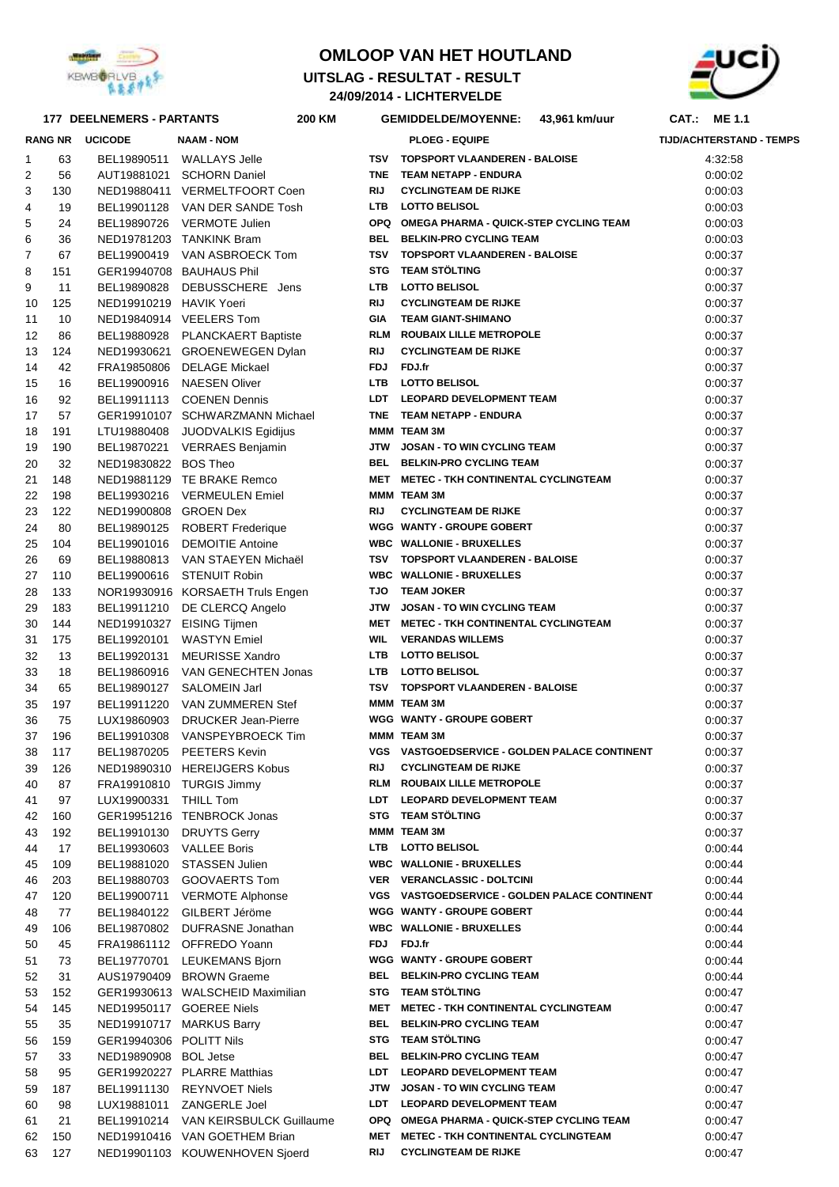

## **OMLOOP VAN HET HOUTLAND**

**24/09/2014 - LICHTERVELDE UITSLAG - RESULTAT - RESULT** 



## **DEELNEMERS - PARTANTS 200 CAT.: ME 1.1 KM GEMIDDELDE/MOYENNE: 43,961 km/uur**

|          | <b>RANG NR</b> | <b>UCICODE</b>          | <b>NAAM - NOM</b>                                         |            | <b>PLOEG - EQUIPE</b>                                          | <b>TIJD/ACHTERSTAND - TEMPS</b> |
|----------|----------------|-------------------------|-----------------------------------------------------------|------------|----------------------------------------------------------------|---------------------------------|
| 1        | 63             |                         | BEL19890511 WALLAYS Jelle                                 |            | TSV TOPSPORT VLAANDEREN - BALOISE                              | 4:32:58                         |
| 2        | 56             |                         | AUT19881021 SCHORN Daniel                                 |            | TNE TEAM NETAPP - ENDURA                                       | 0:00:02                         |
| 3        | 130            |                         | NED19880411 VERMELTFOORT Coen                             | <b>RIJ</b> | <b>CYCLINGTEAM DE RIJKE</b>                                    | 0:00:03                         |
| 4        | 19             |                         | BEL19901128 VAN DER SANDE Tosh                            |            | LTB LOTTO BELISOL                                              | 0:00:03                         |
| 5        | 24             |                         | BEL19890726 VERMOTE Julien                                |            | OPQ OMEGA PHARMA - QUICK-STEP CYCLING TEAM                     | 0:00:03                         |
| 6        | 36             |                         | NED19781203 TANKINK Bram                                  |            | BEL BELKIN-PRO CYCLING TEAM                                    | 0:00:03                         |
| 7        | 67             |                         | BEL19900419 VAN ASBROECK Tom                              |            | TSV TOPSPORT VLAANDEREN - BALOISE                              | 0:00:37                         |
| 8        | 151            |                         | GER19940708 BAUHAUS Phil                                  |            | STG TEAM STÖLTING                                              | 0:00:37                         |
| 9        | 11             |                         | BEL19890828 DEBUSSCHERE Jens                              |            | LTB LOTTO BELISOL                                              | 0:00:37                         |
| 10       | 125            | NED19910219 HAVIK Yoeri |                                                           | <b>RIJ</b> | <b>CYCLINGTEAM DE RIJKE</b>                                    | 0:00:37                         |
| 11       | 10             |                         | NED19840914 VEELERS Tom                                   | <b>GIA</b> | <b>TEAM GIANT-SHIMANO</b>                                      | 0:00:37                         |
| 12       | 86             |                         | BEL19880928 PLANCKAERT Baptiste                           |            | RLM ROUBAIX LILLE METROPOLE                                    | 0:00:37                         |
| 13       | 124            |                         | NED19930621 GROENEWEGEN Dylan                             | RIJ        | <b>CYCLINGTEAM DE RIJKE</b>                                    | 0:00:37                         |
| 14       | 42             |                         | FRA19850806 DELAGE Mickael                                |            | FDJ FDJ.fr                                                     | 0:00:37                         |
| 15       | 16             |                         | BEL19900916 NAESEN Oliver                                 |            | LTB LOTTO BELISOL                                              | 0:00:37                         |
| 16       | 92             |                         | BEL19911113 COENEN Dennis                                 |            | LDT LEOPARD DEVELOPMENT TEAM                                   | 0:00:37                         |
| 17       | 57             |                         | GER19910107 SCHWARZMANN Michael                           |            | TNE TEAM NETAPP - ENDURA                                       | 0:00:37                         |
| 18       | 191            |                         | LTU19880408 JUODVALKIS Egidijus                           |            | MMM TEAM 3M                                                    | 0:00:37                         |
| 19       | 190            |                         | BEL19870221 VERRAES Benjamin                              |            | JTW JOSAN - TO WIN CYCLING TEAM<br>BEL BELKIN-PRO CYCLING TEAM | 0:00:37                         |
| 20       | 32             | NED19830822 BOS Theo    |                                                           |            |                                                                | 0:00:37                         |
| 21       | 148            |                         | NED19881129 TE BRAKE Remco                                |            | MET METEC - TKH CONTINENTAL CYCLINGTEAM<br>MMM TEAM 3M         | 0:00:37                         |
| 22       | 198<br>122     | NED19900808 GROEN Dex   | BEL19930216 VERMEULEN Emiel                               | RIJ        | <b>CYCLINGTEAM DE RIJKE</b>                                    | 0:00:37                         |
| 23<br>24 | 80             |                         | BEL19890125 ROBERT Frederique                             |            | WGG WANTY - GROUPE GOBERT                                      | 0:00:37                         |
| 25       | 104            |                         | BEL19901016 DEMOITIE Antoine                              |            | <b>WBC WALLONIE - BRUXELLES</b>                                | 0:00:37<br>0:00:37              |
| 26       | 69             |                         | BEL19880813 VAN STAEYEN Michaël                           |            | TSV TOPSPORT VLAANDEREN - BALOISE                              | 0:00:37                         |
| 27       | 110            |                         | BEL19900616 STENUIT Robin                                 |            | <b>WBC WALLONIE - BRUXELLES</b>                                | 0:00:37                         |
| 28       | 133            |                         | NOR19930916 KORSAETH Truls Engen                          |            | <b>TJO TEAM JOKER</b>                                          | 0:00:37                         |
| 29       | 183            |                         | BEL19911210 DE CLERCQ Angelo                              |            | JTW JOSAN - TO WIN CYCLING TEAM                                | 0:00:37                         |
| 30       | 144            |                         | NED19910327 EISING Tijmen                                 |            | MET METEC - TKH CONTINENTAL CYCLINGTEAM                        | 0:00:37                         |
| 31       | 175            |                         | BEL19920101 WASTYN Emiel                                  | WIL        | <b>VERANDAS WILLEMS</b>                                        | 0:00:37                         |
| 32       | 13             |                         | BEL19920131 MEURISSE Xandro                               |            | LTB LOTTO BELISOL                                              | 0:00:37                         |
| 33       | 18             |                         | BEL19860916 VAN GENECHTEN Jonas                           |            | LTB LOTTO BELISOL                                              | 0:00:37                         |
| 34       | 65             |                         | BEL19890127 SALOMEIN Jarl                                 |            | TSV TOPSPORT VLAANDEREN - BALOISE                              | 0:00:37                         |
| 35       | 197            |                         | BEL19911220 VAN ZUMMEREN Stef                             |            | MMM TEAM 3M                                                    | 0:00:37                         |
| 36       | 75             |                         | LUX19860903 DRUCKER Jean-Pierre                           |            | WGG WANTY - GROUPE GOBERT                                      | 0:00:37                         |
| 37       | 196            |                         | BEL19910308 VANSPEYBROECK Tim                             |            | MMM TEAM 3M                                                    | 0:00:37                         |
| 38       | 117            |                         | BEL19870205 PEETERS Kevin                                 |            | <b>VGS VASTGOEDSERVICE - GOLDEN PALACE CONTINENT</b>           | 0:00:37                         |
| 39       | 126            |                         | NED19890310 HEREIJGERS Kobus                              | RIJ        | <b>CYCLINGTEAM DE RIJKE</b>                                    | 0:00:37                         |
| 40       | 87             |                         | FRA19910810 TURGIS Jimmy                                  |            | RLM ROUBAIX LILLE METROPOLE                                    | 0:00:37                         |
| 41       | 97             | LUX19900331 THILL Tom   |                                                           |            | LDT LEOPARD DEVELOPMENT TEAM                                   | 0:00:37                         |
| 42       | 160            |                         | GER19951216 TENBROCK Jonas                                |            | STG TEAM STÖLTING                                              | 0:00:37                         |
| 43       | 192            |                         | BEL19910130 DRUYTS Gerry                                  |            | MMM TEAM 3M                                                    | 0:00:37                         |
| 44       | 17             |                         | BEL19930603 VALLEE Boris                                  |            | LTB LOTTO BELISOL                                              | 0:00:44                         |
| 45       | 109            |                         | BEL19881020 STASSEN Julien                                |            | <b>WBC WALLONIE - BRUXELLES</b>                                | 0:00:44                         |
| 46       | 203            |                         | BEL19880703 GOOVAERTS Tom                                 |            | VER VERANCLASSIC - DOLTCINI                                    | 0:00:44                         |
| 47       | 120            | BEL19900711             | <b>VERMOTE Alphonse</b>                                   |            | VGS VASTGOEDSERVICE - GOLDEN PALACE CONTINENT                  | 0:00:44                         |
| 48       | 77             |                         | BEL19840122 GILBERT Jéröme                                |            | <b>WGG WANTY - GROUPE GOBERT</b>                               | 0:00:44                         |
| 49       | 106            |                         | BEL19870802 DUFRASNE Jonathan                             |            | <b>WBC WALLONIE - BRUXELLES</b>                                | 0:00:44                         |
| 50       | 45             |                         | FRA19861112 OFFREDO Yoann                                 |            | FDJ FDJ.fr                                                     | 0:00:44                         |
| 51       | 73             |                         | BEL19770701 LEUKEMANS Bjorn                               |            | <b>WGG WANTY - GROUPE GOBERT</b>                               | 0:00:44                         |
| 52       | 31             |                         | AUS19790409 BROWN Graeme                                  |            | BEL BELKIN-PRO CYCLING TEAM                                    | 0:00:44                         |
| 53       | 152            |                         | GER19930613 WALSCHEID Maximilian                          |            | STG TEAM STÖLTING                                              | 0:00:47                         |
| 54       | 145            |                         | NED19950117 GOEREE Niels                                  |            | MET METEC - TKH CONTINENTAL CYCLINGTEAM                        | 0:00:47                         |
| 55       | 35             |                         | NED19910717 MARKUS Barry                                  | BEL        | <b>BELKIN-PRO CYCLING TEAM</b><br>STG TEAM STÖLTING            | 0:00:47                         |
| 56       | 159            | GER19940306 POLITT Nils |                                                           |            | BEL BELKIN-PRO CYCLING TEAM                                    | 0:00:47                         |
| 57       | 33             | NED19890908 BOL Jetse   |                                                           |            | LDT LEOPARD DEVELOPMENT TEAM                                   | 0:00:47                         |
| 58       | 95             |                         | GER19920227 PLARRE Matthias<br>BEL19911130 REYNVOET Niels |            | JTW JOSAN - TO WIN CYCLING TEAM                                | 0:00:47                         |
| 59<br>60 | 187<br>98      |                         | LUX19881011 ZANGERLE Joel                                 |            | LDT LEOPARD DEVELOPMENT TEAM                                   | 0:00:47<br>0:00:47              |
| 61       | 21             |                         | BEL19910214 VAN KEIRSBULCK Guillaume                      |            | OPQ OMEGA PHARMA - QUICK-STEP CYCLING TEAM                     | 0:00:47                         |
| 62       | 150            |                         | NED19910416 VAN GOETHEM Brian                             |            | MET METEC - TKH CONTINENTAL CYCLINGTEAM                        | 0:00:47                         |
| 63       | 127            |                         | NED19901103 KOUWENHOVEN Sjoerd                            | RIJ        | <b>CYCLINGTEAM DE RIJKE</b>                                    | 0:00:47                         |